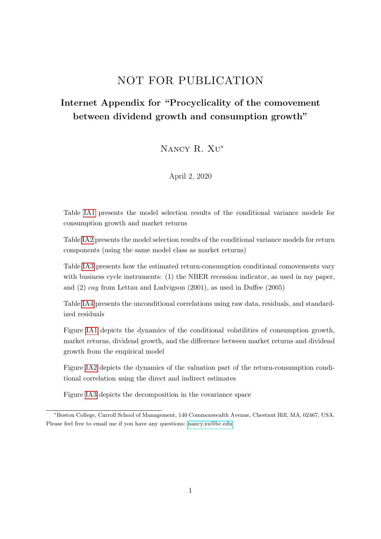## NOT FOR PUBLICATION

## Internet Appendix for "Procyclicality of the comovement between dividend growth and consumption growth"

Nancy R. Xu<sup>∗</sup>

April 2, 2020

Table [IA1](#page-1-0) presents the model selection results of the conditional variance models for consumption growth and market returns

Table [IA2](#page-2-0) presents the model selection results of the conditional variance models for return components (using the same model class as market returns)

Table [IA3](#page-3-0) presents how the estimated return-consumption conditional comovements vary with business cycle instruments: (1) the NBER recession indicator, as used in my paper, and (2) cay from Lettau and Ludvigson (2001), as used in Duffee (2005)

Table [IA4](#page-3-1) presents the unconditional correlations using raw data, residuals, and standardized residuals

Figure [IA1](#page-4-0) depicts the dynamics of the conditional volatilities of consumption growth, market returns, dividend growth, and the difference between market returns and dividend growth from the empirical model

Figure [IA2](#page-5-0) depicts the dynamics of the valuation part of the return-consumption conditional correlation using the direct and indirect estimates

Figure [IA3](#page-6-0) depicts the decomposition in the covariance space

<sup>∗</sup>Boston College, Carroll School of Management, 140 Commonwealth Avenue, Chestnut Hill, MA, 02467, USA. Please feel free to email me if you have any questions: [nancy.xu@bc.edu](mailto:nancy.xu@bc.edu)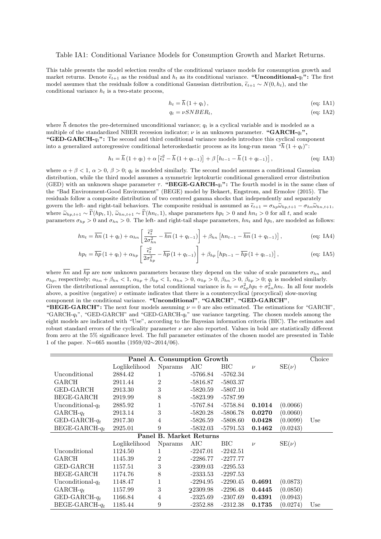## Table IA1: Conditional Variance Models for Consumption Growth and Market Returns.

This table presents the model selection results of the conditional variance models for consumption growth and market returns. Denote  $\tilde{\epsilon}_{t+1}$  as the residual and  $h_t$  as its conditional variance. "Unconditional- $q_t$ ": The first model assumes that the residuals follow a conditional Gaussian distribution,  $\tilde{\epsilon}_{t+1} \sim N(0, h_t)$ , and the conditional variance  $h_t$  is a two-state process,

$$
h_t = \overline{h} (1 + q_t), \qquad \qquad \text{(eq: IA1)}
$$

<span id="page-1-0"></span>
$$
q_t = \nu SNBER_t, \tag{eq: IA2}
$$

where  $\overline{h}$  denotes the pre-determined unconditional variance;  $q_t$  is a cyclical variable and is modeled as a multiple of the standardized NBER recession indicator;  $\nu$  is an unknown parameter. "GARCH- $q_t$ ", "GED-GARCH- $q_t$ ": The second and third conditional variance models introduce this cyclical component into a generalized autoregressive conditional heteroskedastic process as its long-run mean " $\overline{h} (1 + q_t)$ ":

$$
h_t = \overline{h} \left( 1 + q_t \right) + \alpha \left[ \overline{\epsilon}_t^2 - \overline{h} \left( 1 + q_{t-1} \right) \right] + \beta \left[ h_{t-1} - \overline{h} \left( 1 + q_{t-1} \right) \right], \tag{eq: IA3}
$$

where  $\alpha + \beta < 1$ ,  $\alpha > 0$ ,  $\beta > 0$ ;  $q_t$  is modeled similarly. The second model assumes a conditional Gaussian distribution, while the third model assumes a symmetric leptokurtic conditional generalized error distribution (GED) with an unknown shape parameter  $\tau$ . "BEGE-GARCH- $q_t$ ": The fourth model is in the same class of the "Bad Environment-Good Environment" (BEGE) model by Bekaert, Engstrom, and Ermolov (2015). The residuals follow a composite distribution of two centered gamma shocks that independently and separately govern the left- and right-tail behaviors. The composite residual is assumed as  $\tilde{\epsilon}_{t+1} = \sigma_{hp} \tilde{\omega}_{hp,t+1} - \sigma_{hn} \tilde{\omega}_{hn,t+1}$ , where  $\tilde{\omega}_{hp,t+1} \sim \tilde{\Gamma}(h p_t, 1), \tilde{\omega}_{hn,t+1} \sim \tilde{\Gamma}(h n_t, 1),$  shape parameters  $h p_t > 0$  and  $h n_t > 0$  for all t, and scale parameters  $\sigma_{hp} > 0$  and  $\sigma_{hn} > 0$ . The left- and right-tail shape parameters,  $hn_t$  and  $hp_t$ , are modeled as follows:

$$
hn_{t} = \overline{hn} \left( 1 + q_{t} \right) + \alpha_{hn} \left[ \frac{\tilde{\epsilon}_{t}^{2}}{2\sigma_{hn}^{2}} - \overline{hn} \left( 1 + q_{t-1} \right) \right] + \beta_{hn} \left[ hn_{t-1} - \overline{hn} \left( 1 + q_{t-1} \right) \right],
$$
 (eq: IA4)

$$
hp_t = \overline{hp} \left(1 + q_t\right) + \alpha_{hp} \left[\frac{\tilde{\epsilon}_t^2}{2\sigma_{hp}^2} - \overline{hp} \left(1 + q_{t-1}\right)\right] + \beta_{hp} \left[hp_{t-1} - \overline{hp} \left(1 + q_{t-1}\right)\right],\tag{eq: IA5}
$$

where  $\overline{hn}$  and  $\overline{hp}$  are now unknown parameters because they depend on the value of scale parameters  $\sigma_{hn}$  and  $\sigma_{hp}$ , respectively;  $\alpha_{hn} + \beta_{hn} < 1$ ,  $\alpha_{hp} + \beta_{hp} < 1$ ,  $\alpha_{hn} > 0$ ,  $\alpha_{hp} > 0$ ,  $\beta_{hn} > 0$ ,  $\beta_{hp} > 0$ ;  $q_t$  is modeled similarly. Given the distributional assumption, the total conditional variance is  $h_t = \sigma_{hp}^2 h p_t + \sigma_{hn}^2 h n_t$ . In all four models above, a positive (negative)  $\nu$  estimate indicates that there is a countercyclical (procyclical) slow-moving component in the conditional variance. "Unconditional", "GARCH", "GED-GARCH",

"BEGE-GARCH": The next four models assuming  $\nu = 0$  are also estimated. The estimations for "GARCH", "GARCH- $q_t$ ", "GED-GARCH" and "GED-GARCH- $q_t$ " use variance targeting. The chosen models among the eight models are indicated with "Use", according to the Bayesian information criteria (BIC). The estimates and robust standard errors of the cyclicality parameter  $\nu$  are also reported. Values in bold are statistically different from zero at the 5% significance level. The full parameter estimates of the chosen model are presented in Table 1 of the paper. N=665 months (1959/02∼2014/06).

| Panel A. Consumption Growth |               |                 |            |            |        |           | Choice |
|-----------------------------|---------------|-----------------|------------|------------|--------|-----------|--------|
|                             | Loglikelihood | Nparams         | AIC        | BIC.       | $\nu$  | $SE(\nu)$ |        |
| Unconditional               | 2884.42       | 1               | -5766.84   | -5762.34   |        |           |        |
| GARCH                       | 2911.44       | $\overline{2}$  | $-5816.87$ | $-5803.37$ |        |           |        |
| GED-GARCH                   | 2913.30       | 3               | -5820.59   | $-5807.10$ |        |           |        |
| BEGE-GARCH                  | 2919.99       | 8               | -5823.99   | -5787.99   |        |           |        |
| Unconditional- $q_t$        | 2885.92       | $\mathbf{1}$    | -5767.84   | $-5758.84$ | 0.1014 | (0.0066)  |        |
| $GARCH-q_t$                 | 2913.14       | 3               | -5820.28   | $-5806.78$ | 0.0270 | (0.0060)  |        |
| GED-GARCH- $q_t$            | 2917.30       | 4               | $-5826.59$ | $-5808.60$ | 0.0428 | (0.0099)  | Use    |
| BEGE-GARCH- $q_t$           | 2925.01       | 9               | -5832.03   | -5791.53   | 0.1462 | (0.0243)  |        |
| Panel B. Market Returns     |               |                 |            |            |        |           |        |
|                             | Loglikelihood | <b>N</b> params | AIC        | BIC-       | $\nu$  | $SE(\nu)$ |        |
| Unconditional               | 1124.50       | 1               | $-2247.01$ | $-2242.51$ |        |           |        |
| GARCH                       | 1145.39       | $\overline{2}$  | $-2286.77$ | $-2277.77$ |        |           |        |
| GED-GARCH                   | 1157.51       | 3               | $-2309.03$ | $-2295.53$ |        |           |        |
| BEGE-GARCH                  | 1174.76       | 8               | $-2333.53$ | $-2297.53$ |        |           |        |
| Unconditional- $q_t$        | 1148.47       | $\mathbf{1}$    | $-2294.95$ | $-2290.45$ | 0.4691 | (0.0873)  |        |
| $GARCH-q_t$                 | 1157.99       | 3               | 22309.98   | $-2296.48$ | 0.4445 | (0.0850)  |        |
| GED-GARCH- $q_t$            | 1166.84       | 4               | $-2325.69$ | $-2307.69$ | 0.4391 | (0.0943)  |        |
| BEGE-GARCH- $q_t$           | 1185.44       | 9               | $-2352.88$ | $-2312.38$ | 0.1735 | (0.0274)  | Use    |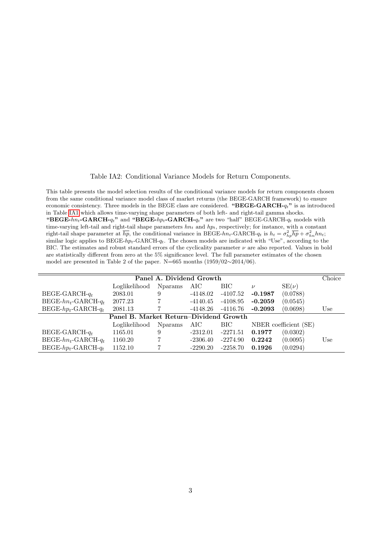## <span id="page-2-0"></span>Table IA2: Conditional Variance Models for Return Components.

This table presents the model selection results of the conditional variance models for return components chosen from the same conditional variance model class of market returns (the BEGE-GARCH framework) to ensure economic consistency. Three models in the BEGE class are considered. "BEGE-GARCH- $q_t$ " is as introduced in Table [IA1](#page-1-0) which allows time-varying shape parameters of both left- and right-tail gamma shocks. "BEGE- $hn_t$ -GARCH- $q_t$ " and "BEGE- $hp_t$ -GARCH- $q_t$ " are two "half" BEGE-GARCH- $q_t$  models with time-varying left-tail and right-tail shape parameters  $hn_t$  and  $hp_t$ , respectively; for instance, with a constant right-tail shape parameter at  $\overline{hp}$ , the conditional variance in BEGE-hn<sub>t</sub>-GARCH- $q_t$  is  $h_t = \sigma_{hp}^2 \overline{hp} + \sigma_{hn}^2 h n_t$ ; similar logic applies to BEGE-hp<sub>t</sub>-GARCH- $q_t$ . The chosen models are indicated with "Use", according to the BIC. The estimates and robust standard errors of the cyclicality parameter  $\nu$  are also reported. Values in bold are statistically different from zero at the 5% significance level. The full parameter estimates of the chosen model are presented in Table 2 of the paper. N=665 months (1959/02∼2014/06).

| Panel A. Dividend Growth               |               |                 |            |            |           |                       | Choice |  |
|----------------------------------------|---------------|-----------------|------------|------------|-----------|-----------------------|--------|--|
|                                        | Loglikelihood | <b>N</b> params | AIC        | BIC        | $\nu$     | $SE(\nu)$             |        |  |
| BEGE-GARCH- $q_t$                      | 2083.01       | 9               | $-4148.02$ | -4107.52   | $-0.1987$ | (0.0788)              |        |  |
| $BEGE-hn_t-GARCH-q_t$                  | 2077.23       |                 | $-4140.45$ | $-4108.95$ | $-0.2059$ | (0.0545)              |        |  |
| $BEGE-hp_t-GARCH-q_t$                  | 2081.13       |                 | $-4148.26$ | -4116.76   | $-0.2093$ | (0.0698)              | Use    |  |
| Panel B. Market Return-Dividend Growth |               |                 |            |            |           |                       |        |  |
|                                        | Loglikelihood | <b>N</b> params | AIC        | BIC        |           | NBER coefficient (SE) |        |  |
| BEGE-GARCH- $q_t$                      | 1165.01       | 9               | $-2312.01$ | $-2271.51$ | 0.1977    | (0.0302)              |        |  |
| $BEGE-hn_t-GARCH-q_t$                  | 1160.20       |                 | $-2306.40$ | $-2274.90$ | 0.2242    | (0.0095)              | Use    |  |
| $BEGE-hp_t-GARCH-q_t$                  | 1152.10       |                 | $-2290.20$ | $-2258.70$ | 0.1926    | (0.0294)              |        |  |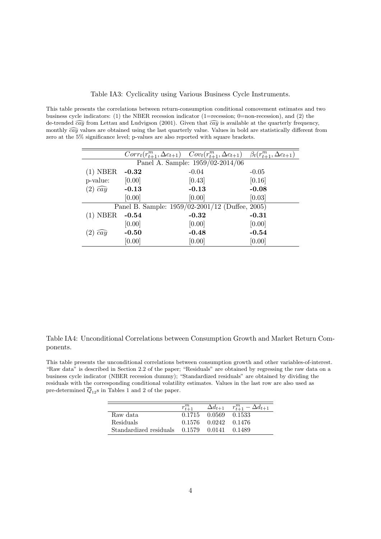<span id="page-3-0"></span>Table IA3: Cyclicality using Various Business Cycle Instruments.

This table presents the correlations between return-consumption conditional comovement estimates and two business cycle indicators: (1) the NBER recession indicator (1=recession; 0=non-recession), and (2) the de-trended  $\widehat{cay}$  from Lettau and Ludvigson (2001). Given that  $\widehat{cay}$  is available at the quarterly frequency, monthly  $\widehat{cay}$  values are obtained using the last quarterly value. Values in bold are statistically different from zero at the 5% significance level; p-values are also reported with square brackets.

|                                  |                                                 | $Corr_t(r_{t+1}^m, \Delta c_{t+1})$ $Cov_t(r_{t+1}^m, \Delta c_{t+1})$ $\beta_t(r_{t+1}^m, \Delta c_{t+1})$ |         |  |  |  |
|----------------------------------|-------------------------------------------------|-------------------------------------------------------------------------------------------------------------|---------|--|--|--|
| Panel A. Sample: 1959/02-2014/06 |                                                 |                                                                                                             |         |  |  |  |
| $(1)$ NBER                       | $-0.32$                                         | $-0.04$                                                                                                     | $-0.05$ |  |  |  |
| p-value:                         | [0.00]                                          | [0.43]                                                                                                      | [0.16]  |  |  |  |
| $(2)$ $\widehat{cay}$            | $-0.13$                                         | $-0.13$                                                                                                     | $-0.08$ |  |  |  |
|                                  | [0.00]                                          | [0.00]                                                                                                      | [0.03]  |  |  |  |
|                                  | Panel B. Sample: 1959/02-2001/12 (Duffee, 2005) |                                                                                                             |         |  |  |  |
| $(1)$ NBER                       | $-0.54$                                         | $-0.32$                                                                                                     | $-0.31$ |  |  |  |
|                                  | [0.00]                                          | [0.00]                                                                                                      | [0.00]  |  |  |  |
| $ca\overline{y}$                 | $-0.50$                                         | $-0.48$                                                                                                     | $-0.54$ |  |  |  |
|                                  | [0.00]                                          | [0.00]                                                                                                      | [0.00]  |  |  |  |

<span id="page-3-1"></span>Table IA4: Unconditional Correlations between Consumption Growth and Market Return Components.

This table presents the unconditional correlations between consumption growth and other variables-of-interest. "Raw data" is described in Section 2.2 of the paper; "Residuals" are obtained by regressing the raw data on a business cycle indicator (NBER recession dummy); "Standardized residuals" are obtained by dividing the residuals with the corresponding conditional volatility estimates. Values in the last row are also used as pre-determined  $\overline{Q}_{12}$ s in Tables 1 and 2 of the paper.

|                        | $r_{t\pm}^m$ .       | $\Delta d_{t+1}$      | $r_{t+1}^m - \Delta d_{t+1}$ |
|------------------------|----------------------|-----------------------|------------------------------|
| Raw data               | 0.1715               | 0.0569 0.1533         |                              |
| Residuals              | 0.1576               | $0.0242 \quad 0.1476$ |                              |
| Standardized residuals | 0.1579 0.0141 0.1489 |                       |                              |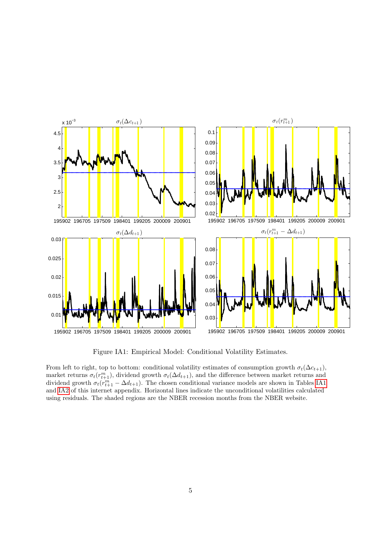

<span id="page-4-0"></span>Figure IA1: Empirical Model: Conditional Volatility Estimates.

From left to right, top to bottom: conditional volatility estimates of consumption growth  $\sigma_t(\Delta c_{t+1}),$ market returns  $\sigma_t(r_{t+1}^m)$ , dividend growth  $\sigma_t(\Delta d_{t+1})$ , and the difference between market returns and dividend growth  $\sigma_t(r_{t+1}^m - \Delta d_{t+1})$ . The chosen conditional variance models are shown in Tables [IA1](#page-1-0) and [IA2](#page-2-0) of this internet appendix. Horizontal lines indicate the unconditional volatilities calculated using residuals. The shaded regions are the NBER recession months from the NBER website.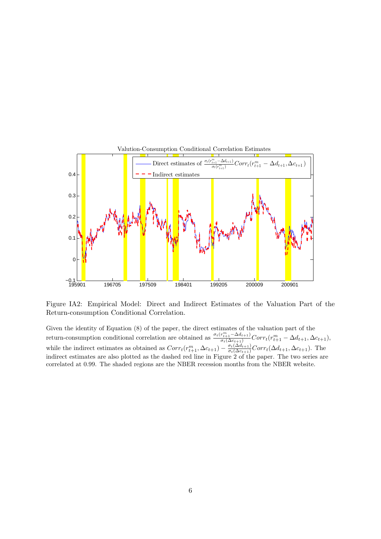

<span id="page-5-0"></span>Figure IA2: Empirical Model: Direct and Indirect Estimates of the Valuation Part of the Return-consumption Conditional Correlation.

Given the identity of Equation (8) of the paper, the direct estimates of the valuation part of the return-consumption conditional correlation are obtained as  $\frac{\sigma_t(r_{t+1}^m - \Delta d_{t+1})}{\sigma_t(\Delta c_{t+1})}Corr_t(r_{t+1}^m - \Delta d_{t+1}, \Delta c_{t+1}),$ while the indirect estimates as obtained as  $Corr_t(r_{t+1}^m, \Delta c_{t+1}) - \frac{\sigma_t(\Delta d_{t+1})}{\sigma_t(\Delta c_{t+1})}Corr_t(\Delta d_{t+1}, \Delta c_{t+1})$ . The indirect estimates are also plotted as the dashed red line in Figure 2 of the paper. The two series are correlated at 0.99. The shaded regions are the NBER recession months from the NBER website.